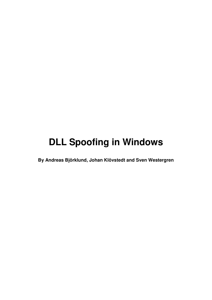# **DLL Spoofing in Windows**

**By Andreas Björklund, Johan Klövstedt and Sven Westergren**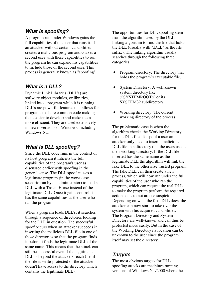# **What is spoofing?**

A program run under Windows gains the full capabilities of the user that runs it. If an attacker without certain capabilities creates a malicious program and coaxes a second user with these capabilities to run the program he can expand his capabilities to include those of the second user. This process is generally known as "spoofing".

# **What is a DLL?**

Dynamic Link Libraries (DLL's) are software object modules, or libraries, linked into a program while it is running. DLL's are powerful features that allows for programs to share common code making them easier to develop and make them more efficient. They are used extensively in newer versions of Windows, including Windows NT.

# **What is DLL spoofing?**

Since the DLL code runs in the context of its host program it inherits the full capabilities of the program's user as discussed earlier with spoofing in the general sense. The DLL spoof causes a legitimate program (in the worst case scenario run by an administrator) to load a DLL with a Trojan Horse instead of the legitimate DLL. Once it gains control it has the same capabilities as the user who ran the program.

When a program loads DLL's, it searches through a sequence of directories looking for the DLL in question. The successful spoof occurs when an attacker succeeds in inserting the malicious DLL-file in one of those directories so that the program finds it before it finds the legitimate DLL of the same name. This means that the attack can still be successful even if the legitimate DLL is beyond the attackers reach (i.e. if the file is write-protected or the attacker doesn't have access to the directory which contains the legitimate DLL).

The opportunities for DLL spoofing stem from the algorithm used by the DLL linking algorithm to find the file that holds the DLL (usually with ".DLL" as the file suffix). The linking algorithm usually searches through the following three categories:

- Program directory: The directory that holds the program's executable file.
- System Directory: A well known system directory like %SYSTEMROOT% or its SYSTEM32 subdirectory.
- Working directory: The current working directory of the process.

The problematic case is when the algorithm checks the Working Directory for the DLL file. To spoof a user an attacker only need to insert a malicious DLL file in a directory that the users use as their working directory. If the DLL file inserted has the same name as the legitimate DLL the algorithm will link the fake DLL to the otherwise trusted program. The fake DLL can then create a new process, which will now run under the full capabilities of the user who ran the program, which can request the real DLL to make the program perform the required action so as to not arouse suspicion. Depending on what the fake DLL does, the attacker can now start to take over the system with his acquired capabilities. The Program Directory and System Directory are well-known and can thus be protected more easily. But in the case of the Working Directory its location can be unknown to the user since the program itself may set the directory.

# **Targets**

The most obvious targets for DLL spoofing attacks are machines running versions of Windows NT/2000 where the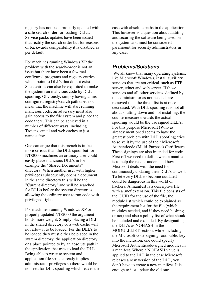registry has not been properly updated with a safe search-order for loading DLL's. Service packs updates have been issued that rectify the search order but for reasons of backwards compatibility it is disabled as per default.

For machines running Windows XP the problem with the search-order is not an issue but there have been a few malconfigured programs and registry entries which point to DLL's that do not exist. Such entries can also be exploited to make the system run malicious code by DLL spoofing. Obviously, simply having a misconfigured registry/search path does not mean that the machine will start running malicious code; an adversary must also gain access to the file system and place the code there. This can be achieved in a number of different ways, including Trojans, email and web caches to just name a few.

One can argue that this breach is in fact more serious than the DLL spoof but for NT/2000 machines an ordinary user could easily place malicious DLL's in for example the "Shared Documents" directory. When another user with higher privileges subsequently opens a document in the same directory this will be the "Current directory" and will be searched for DLL's before the system directories, allowing the ordinary user to run code with privileged rights.

For machines running Windows XP or properly updated NT/2000 the argument holds more weight. Simply placing a DLL in the shared directory or a web cache will not allow it to be loaded. For the DLL's to be loaded they must either be placed in the system directory, the application directory or a place pointed to by an absolute path in the application that tries to load the DLL. Being able to write to system and application file space already implies administrator privileges so there would be no need for DLL spoofing which leaves the

case with absolute paths in the application. This however is a question about auditing and securing the software being used on the system and must be considered paramount for security administrators in any case.

## **Problems/Solutions**

 We all know that many operating systems, like Microsoft Windows, install auxiliary services that are not critical, such as FTP server, telnet and web server. If those services and all other services, defined by the administrator as not needed, are removed then the threat list is at once decreased. With DLL spoofing it is not all about shutting down and not installing, the countermeasure towards the actual spoofing would be the use signed DLL's. For this purpose Microsoft (Who as already mentioned seems to have the greatest problem with DLL spoofing) tries to solve it by the use of their Microsoft Authenticode (Multi-Purpose) Certificates. These signings are also intended for code. First off we need to define what a manifest is to help the reader understand how Microsoft deals with the need for continuously updating their DLL's as well. To let every DLL to become outdated could be dangerous in this world of hackers. A manifest is a descriptive file with a mcf extension. This file consists of the GUID for the use of the file, the module list which could be explained as the requirement list for the file (which modules needed, and if they need hashing or not) and also a policy list of what should be included and excluded. By designating the DLL's as NOHASH in the MODULELIST section, while including the Microsoft code-signing root public key into the inclusion, one could specify Microsoft Authenticode-signed modules in a manifest. Where a NOHASH value is applied to the DLL in the case Microsoft releases a new version of the DLL, you don't have to create a new manifest. It is enough to just update the old one.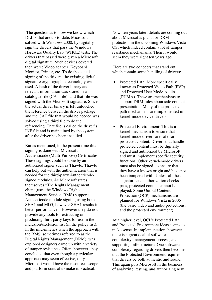The question as to how we know which DLL's that are up-to-date, Microsoft solved with Windows 2000, by digitally sign the drivers that pass the Windows Hardware Quality Lab (WHQL) tests. The drivers that passed were given a Microsoft digital signature. Such devices covered then were: Video adapter, Keyboard, Monitor, Printer, etc. To do the actual signing of the drivers, the existing digitalsignature cryptographic technology was used. A hash of the driver binary and relevant information was stored in a catalogue file (CAT file), and that file was signed with the Microsoft signature. Since the actual driver binary is left untouched, the reference between the driver package and the CAT file that would be needed was solved using a third file to do the referencing. That file is called the driver's INF file and is maintained by the system after the driver has been installed.

But as mentioned, in the present time this signing is done with Microsoft Authenticode (Multi-Purpose) Certificates. These signings could be done by an authorized signer such as Thawte. Thawte can help out with the authentication that is needed for the third-party Authenticodesigned modules. As Microsoft states themselves "The Rights Management client (uses the Windows Rights Management Service, RMS) supports Authenticode module signing using both SHA1 and MD5, however SHA1 results in better performance". However they do not provide any tools for extracting or producing third-party keys for use in the inclusion/exclusion list (in the policy list). In the mid-nineties when the approach with the RMS, sometimes referred to as the Digital Rights Management (DRM), was explored designers came up with a variety of tamper resistance. Often, however, they concluded that even though a particular approach may seem effective, only Microsoft would have the resources, scope and platform control to make it practical.

Now, ten years later, details are coming out about Microsoft's plans for DRM protection in the upcoming Windows Vista OS, which indeed contain a lot of tamper resistance mechanisms. Then it would seem they were right ten years ago.

 Here are two concepts that stand out, which contain some handling of drivers:

- Protected Path: More specifically known as Protected Video Path (PVP) and Protected User Mode Audio (PUMA). These are mechanisms to support DRM rules about safe content presentation. Many of the protected path mechanisms are implemented in kernel-mode device drivers.
- Protected Environment: This is a kernel mechanism to ensure that kernel-mode drivers are safe for protected content. Drivers that handle protected content must be digitally signed and authorized by Microsoft, and must implement specific security functions. Other kernel-mode drivers must also be signed, to ensure that they have a known origin and have not been tampered with. Unless all these signature and authorization checks pass, protected content cannot be played. Some Output Content Protection (OCP) mechanisms are planned for Windows Vista in 2006 (the basic video and audio protections, and the protected environment).

At a higher level, OCP's Protected Path and Protected Environment ideas seems to make sense. In implementation, however, there is a great deal of software complexity, management process, and supporting infrastructure. One software complexity regarding drivers then becomes that the Protected Environment requires that drivers be both authentic and sound. This again puts Microsoft in the business of analyzing, testing, and authorizing new